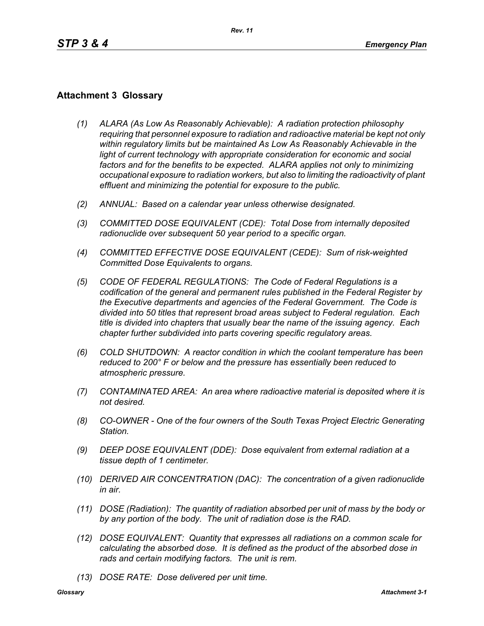## **Attachment 3 Glossary**

- *(1) ALARA (As Low As Reasonably Achievable): A radiation protection philosophy requiring that personnel exposure to radiation and radioactive material be kept not only within regulatory limits but be maintained As Low As Reasonably Achievable in the*  light of current technology with appropriate consideration for economic and social *factors and for the benefits to be expected. ALARA applies not only to minimizing occupational exposure to radiation workers, but also to limiting the radioactivity of plant effluent and minimizing the potential for exposure to the public.*
- *(2) ANNUAL: Based on a calendar year unless otherwise designated.*
- *(3) COMMITTED DOSE EQUIVALENT (CDE): Total Dose from internally deposited radionuclide over subsequent 50 year period to a specific organ.*
- *(4) COMMITTED EFFECTIVE DOSE EQUIVALENT (CEDE): Sum of risk-weighted Committed Dose Equivalents to organs.*
- *(5) CODE OF FEDERAL REGULATIONS: The Code of Federal Regulations is a codification of the general and permanent rules published in the Federal Register by the Executive departments and agencies of the Federal Government. The Code is divided into 50 titles that represent broad areas subject to Federal regulation. Each title is divided into chapters that usually bear the name of the issuing agency. Each chapter further subdivided into parts covering specific regulatory areas.*
- *(6) COLD SHUTDOWN: A reactor condition in which the coolant temperature has been reduced to 200° F or below and the pressure has essentially been reduced to atmospheric pressure.*
- *(7) CONTAMINATED AREA: An area where radioactive material is deposited where it is not desired.*
- *(8) CO-OWNER One of the four owners of the South Texas Project Electric Generating Station.*
- *(9) DEEP DOSE EQUIVALENT (DDE): Dose equivalent from external radiation at a tissue depth of 1 centimeter.*
- *(10) DERIVED AIR CONCENTRATION (DAC): The concentration of a given radionuclide in air.*
- *(11) DOSE (Radiation): The quantity of radiation absorbed per unit of mass by the body or by any portion of the body. The unit of radiation dose is the RAD.*
- *(12) DOSE EQUIVALENT: Quantity that expresses all radiations on a common scale for calculating the absorbed dose. It is defined as the product of the absorbed dose in rads and certain modifying factors. The unit is rem.*
- *(13) DOSE RATE: Dose delivered per unit time.*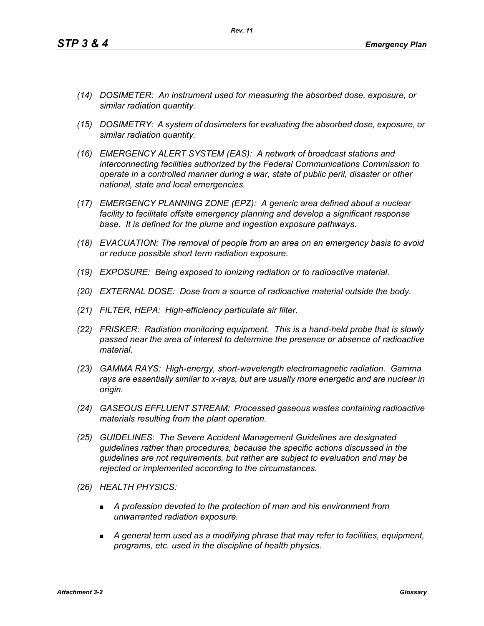- *(14) DOSIMETER: An instrument used for measuring the absorbed dose, exposure, or similar radiation quantity.*
- *(15) DOSIMETRY: A system of dosimeters for evaluating the absorbed dose, exposure, or similar radiation quantity.*
- *(16) EMERGENCY ALERT SYSTEM (EAS): A network of broadcast stations and interconnecting facilities authorized by the Federal Communications Commission to operate in a controlled manner during a war, state of public peril, disaster or other national, state and local emergencies.*
- *(17) EMERGENCY PLANNING ZONE (EPZ): A generic area defined about a nuclear facility to facilitate offsite emergency planning and develop a significant response base. It is defined for the plume and ingestion exposure pathways.*
- *(18) EVACUATION: The removal of people from an area on an emergency basis to avoid or reduce possible short term radiation exposure.*
- *(19) EXPOSURE: Being exposed to ionizing radiation or to radioactive material.*
- *(20) EXTERNAL DOSE: Dose from a source of radioactive material outside the body.*
- *(21) FILTER, HEPA: High-efficiency particulate air filter.*
- *(22) FRISKER: Radiation monitoring equipment. This is a hand-held probe that is slowly passed near the area of interest to determine the presence or absence of radioactive material.*
- *(23) GAMMA RAYS: High-energy, short-wavelength electromagnetic radiation. Gamma rays are essentially similar to x-rays, but are usually more energetic and are nuclear in origin.*
- *(24) GASEOUS EFFLUENT STREAM: Processed gaseous wastes containing radioactive materials resulting from the plant operation.*
- *(25) GUIDELINES: The Severe Accident Management Guidelines are designated guidelines rather than procedures, because the specific actions discussed in the guidelines are not requirements, but rather are subject to evaluation and may be rejected or implemented according to the circumstances.*
- *(26) HEALTH PHYSICS:*
	- *A profession devoted to the protection of man and his environment from unwarranted radiation exposure.*
	- *A general term used as a modifying phrase that may refer to facilities, equipment, programs, etc. used in the discipline of health physics.*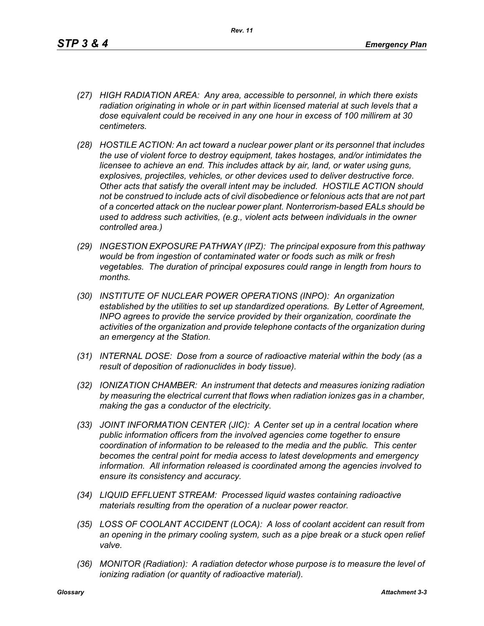- *(27) HIGH RADIATION AREA: Any area, accessible to personnel, in which there exists radiation originating in whole or in part within licensed material at such levels that a dose equivalent could be received in any one hour in excess of 100 millirem at 30 centimeters.*
- *(28) HOSTILE ACTION: An act toward a nuclear power plant or its personnel that includes the use of violent force to destroy equipment, takes hostages, and/or intimidates the licensee to achieve an end. This includes attack by air, land, or water using guns, explosives, projectiles, vehicles, or other devices used to deliver destructive force. Other acts that satisfy the overall intent may be included. HOSTILE ACTION should not be construed to include acts of civil disobedience or felonious acts that are not part of a concerted attack on the nuclear power plant. Nonterrorism-based EALs should be used to address such activities, (e.g., violent acts between individuals in the owner controlled area.)*
- *(29) INGESTION EXPOSURE PATHWAY (IPZ): The principal exposure from this pathway would be from ingestion of contaminated water or foods such as milk or fresh vegetables. The duration of principal exposures could range in length from hours to months.*
- *(30) INSTITUTE OF NUCLEAR POWER OPERATIONS (INPO): An organization established by the utilities to set up standardized operations. By Letter of Agreement, INPO agrees to provide the service provided by their organization, coordinate the activities of the organization and provide telephone contacts of the organization during an emergency at the Station.*
- *(31) INTERNAL DOSE: Dose from a source of radioactive material within the body (as a result of deposition of radionuclides in body tissue).*
- *(32) IONIZATION CHAMBER: An instrument that detects and measures ionizing radiation by measuring the electrical current that flows when radiation ionizes gas in a chamber, making the gas a conductor of the electricity.*
- *(33) JOINT INFORMATION CENTER (JIC): A Center set up in a central location where public information officers from the involved agencies come together to ensure coordination of information to be released to the media and the public. This center becomes the central point for media access to latest developments and emergency information. All information released is coordinated among the agencies involved to ensure its consistency and accuracy.*
- *(34) LIQUID EFFLUENT STREAM: Processed liquid wastes containing radioactive materials resulting from the operation of a nuclear power reactor.*
- *(35) LOSS OF COOLANT ACCIDENT (LOCA): A loss of coolant accident can result from an opening in the primary cooling system, such as a pipe break or a stuck open relief valve.*
- *(36) MONITOR (Radiation): A radiation detector whose purpose is to measure the level of ionizing radiation (or quantity of radioactive material).*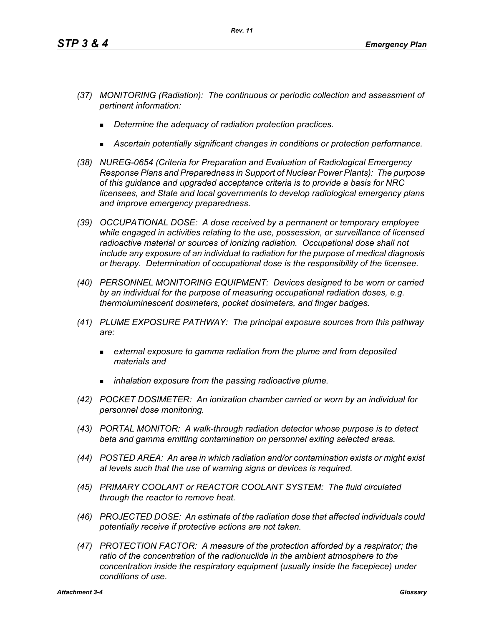- *(37) MONITORING (Radiation): The continuous or periodic collection and assessment of pertinent information:*
	- *Determine the adequacy of radiation protection practices.*
	- *Ascertain potentially significant changes in conditions or protection performance.*
- *(38) NUREG-0654 (Criteria for Preparation and Evaluation of Radiological Emergency Response Plans and Preparedness in Support of Nuclear Power Plants): The purpose of this guidance and upgraded acceptance criteria is to provide a basis for NRC licensees, and State and local governments to develop radiological emergency plans and improve emergency preparedness.*
- *(39) OCCUPATIONAL DOSE: A dose received by a permanent or temporary employee while engaged in activities relating to the use, possession, or surveillance of licensed radioactive material or sources of ionizing radiation. Occupational dose shall not include any exposure of an individual to radiation for the purpose of medical diagnosis or therapy. Determination of occupational dose is the responsibility of the licensee.*
- *(40) PERSONNEL MONITORING EQUIPMENT: Devices designed to be worn or carried by an individual for the purpose of measuring occupational radiation doses, e.g. thermoluminescent dosimeters, pocket dosimeters, and finger badges.*
- *(41) PLUME EXPOSURE PATHWAY: The principal exposure sources from this pathway are:*
	- *external exposure to gamma radiation from the plume and from deposited materials and*
	- *inhalation exposure from the passing radioactive plume.*
- *(42) POCKET DOSIMETER: An ionization chamber carried or worn by an individual for personnel dose monitoring.*
- *(43) PORTAL MONITOR: A walk-through radiation detector whose purpose is to detect beta and gamma emitting contamination on personnel exiting selected areas.*
- *(44) POSTED AREA: An area in which radiation and/or contamination exists or might exist at levels such that the use of warning signs or devices is required.*
- *(45) PRIMARY COOLANT or REACTOR COOLANT SYSTEM: The fluid circulated through the reactor to remove heat.*
- *(46) PROJECTED DOSE: An estimate of the radiation dose that affected individuals could potentially receive if protective actions are not taken.*
- *(47) PROTECTION FACTOR: A measure of the protection afforded by a respirator; the*  ratio of the concentration of the radionuclide in the ambient atmosphere to the *concentration inside the respiratory equipment (usually inside the facepiece) under conditions of use.*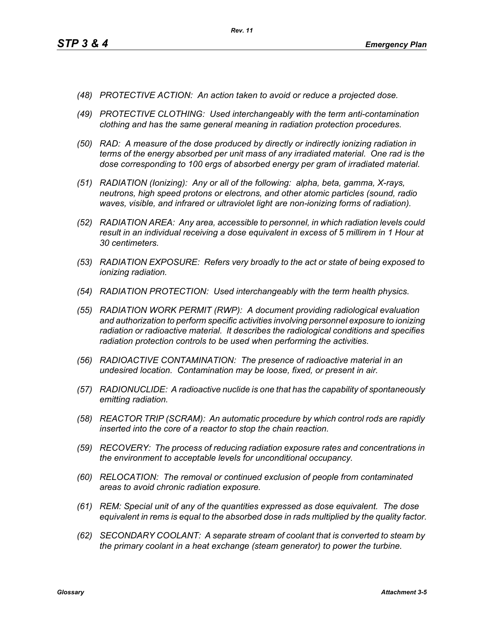- *(48) PROTECTIVE ACTION: An action taken to avoid or reduce a projected dose.*
- *(49) PROTECTIVE CLOTHING: Used interchangeably with the term anti-contamination clothing and has the same general meaning in radiation protection procedures.*
- *(50) RAD: A measure of the dose produced by directly or indirectly ionizing radiation in terms of the energy absorbed per unit mass of any irradiated material. One rad is the dose corresponding to 100 ergs of absorbed energy per gram of irradiated material.*
- *(51) RADIATION (Ionizing): Any or all of the following: alpha, beta, gamma, X-rays, neutrons, high speed protons or electrons, and other atomic particles (sound, radio waves, visible, and infrared or ultraviolet light are non-ionizing forms of radiation).*
- *(52) RADIATION AREA: Any area, accessible to personnel, in which radiation levels could result in an individual receiving a dose equivalent in excess of 5 millirem in 1 Hour at 30 centimeters.*
- *(53) RADIATION EXPOSURE: Refers very broadly to the act or state of being exposed to ionizing radiation.*
- *(54) RADIATION PROTECTION: Used interchangeably with the term health physics.*
- *(55) RADIATION WORK PERMIT (RWP): A document providing radiological evaluation and authorization to perform specific activities involving personnel exposure to ionizing radiation or radioactive material. It describes the radiological conditions and specifies radiation protection controls to be used when performing the activities.*
- *(56) RADIOACTIVE CONTAMINATION: The presence of radioactive material in an undesired location. Contamination may be loose, fixed, or present in air.*
- *(57) RADIONUCLIDE: A radioactive nuclide is one that has the capability of spontaneously emitting radiation.*
- *(58) REACTOR TRIP (SCRAM): An automatic procedure by which control rods are rapidly inserted into the core of a reactor to stop the chain reaction.*
- *(59) RECOVERY: The process of reducing radiation exposure rates and concentrations in the environment to acceptable levels for unconditional occupancy.*
- *(60) RELOCATION: The removal or continued exclusion of people from contaminated areas to avoid chronic radiation exposure.*
- *(61) REM: Special unit of any of the quantities expressed as dose equivalent. The dose equivalent in rems is equal to the absorbed dose in rads multiplied by the quality factor.*
- *(62) SECONDARY COOLANT: A separate stream of coolant that is converted to steam by the primary coolant in a heat exchange (steam generator) to power the turbine.*